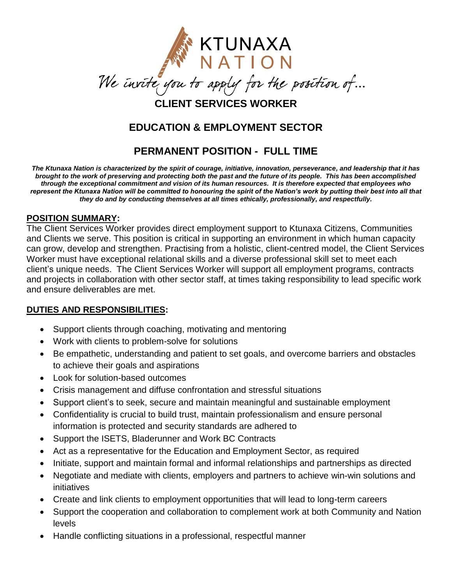

## **EDUCATION & EMPLOYMENT SECTOR**

# **PERMANENT POSITION - FULL TIME**

*The Ktunaxa Nation is characterized by the spirit of courage, initiative, innovation, perseverance, and leadership that it has brought to the work of preserving and protecting both the past and the future of its people. This has been accomplished through the exceptional commitment and vision of its human resources. It is therefore expected that employees who represent the Ktunaxa Nation will be committed to honouring the spirit of the Nation's work by putting their best into all that they do and by conducting themselves at all times ethically, professionally, and respectfully.*

#### **POSITION SUMMARY:**

The Client Services Worker provides direct employment support to Ktunaxa Citizens, Communities and Clients we serve. This position is critical in supporting an environment in which human capacity can grow, develop and strengthen. Practising from a holistic, client-centred model, the Client Services Worker must have exceptional relational skills and a diverse professional skill set to meet each client's unique needs. The Client Services Worker will support all employment programs, contracts and projects in collaboration with other sector staff, at times taking responsibility to lead specific work and ensure deliverables are met.

### **DUTIES AND RESPONSIBILITIES:**

- Support clients through coaching, motivating and mentoring
- Work with clients to problem-solve for solutions
- Be empathetic, understanding and patient to set goals, and overcome barriers and obstacles to achieve their goals and aspirations
- Look for solution-based outcomes
- Crisis management and diffuse confrontation and stressful situations
- Support client's to seek, secure and maintain meaningful and sustainable employment
- Confidentiality is crucial to build trust, maintain professionalism and ensure personal information is protected and security standards are adhered to
- Support the ISETS, Bladerunner and Work BC Contracts
- Act as a representative for the Education and Employment Sector, as required
- Initiate, support and maintain formal and informal relationships and partnerships as directed
- Negotiate and mediate with clients, employers and partners to achieve win-win solutions and initiatives
- Create and link clients to employment opportunities that will lead to long-term careers
- Support the cooperation and collaboration to complement work at both Community and Nation levels
- Handle conflicting situations in a professional, respectful manner